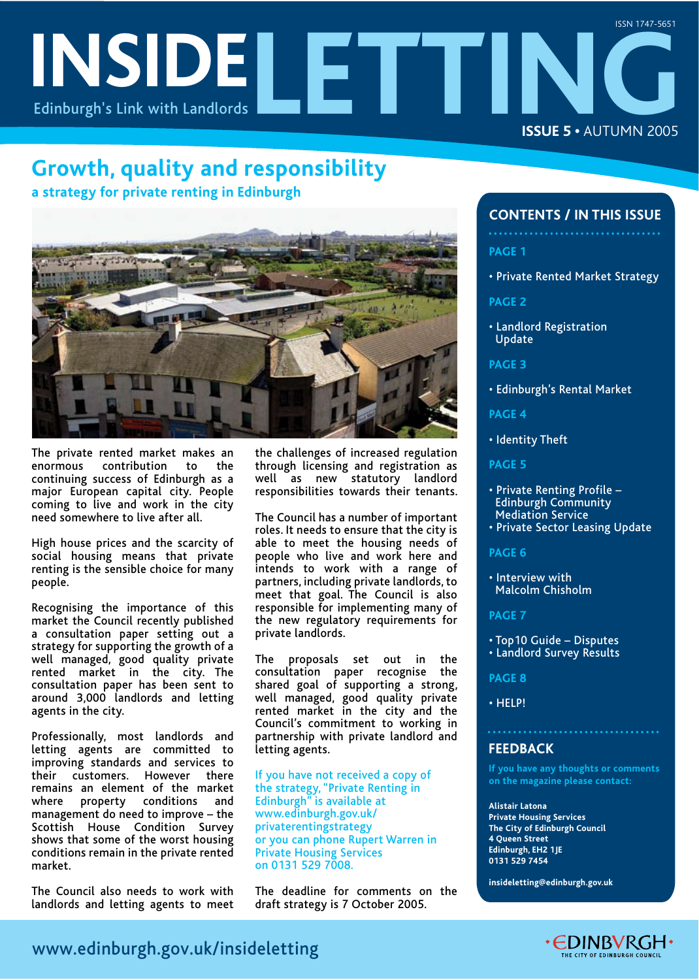# **INSIDELETTING** Edinburgh's Link with Landlords **ISSUE 5 •** AUTUMN 2005 ISSN 1747-5651

# **Growth, quality and responsibility**

**a strategy for private renting in Edinburgh**



The private rented market makes an enormous contribution to the continuing success of Edinburgh as a major European capital city. People coming to live and work in the city need somewhere to live after all.

High house prices and the scarcity of social housing means that private renting is the sensible choice for many people.

Recognising the importance of this market the Council recently published a consultation paper setting out a strategy for supporting the growth of a well managed, good quality private rented market in the city. The consultation paper has been sent to around 3,000 landlords and letting agents in the city.

Professionally, most landlords and letting agents are committed to improving standards and services to their customers. However there remains an element of the market where property conditions and management do need to improve – the Scottish House Condition Survey shows that some of the worst housing conditions remain in the private rented market.

The Council also needs to work with landlords and letting agents to meet the challenges of increased regulation through licensing and registration as well as new statutory landlord responsibilities towards their tenants.

The Council has a number of important roles. It needs to ensure that the city is able to meet the housing needs of people who live and work here and intends to work with a range of partners, including private landlords, to meet that goal. The Council is also responsible for implementing many of the new regulatory requirements for private landlords.

The proposals set out in the consultation paper recognise the shared goal of supporting a strong, well managed, good quality private rented market in the city and the Council's commitment to working in partnership with private landlord and letting agents.

If you have not received a copy of the strategy, "Private Renting in Edinburgh" is available at www.edinburgh.gov.uk/ privaterentingstrategy or you can phone Rupert Warren in Private Housing Services on 0131 529 7008.

The deadline for comments on the draft strategy is 7 October 2005.

## **CONTENTS / IN THIS ISSUE**

- **PAGE 1**
- Private Rented Market Strategy

**PAGE 2**

• Landlord Registration Update

**PAGE 3**

• Edinburgh's Rental Market

**PAGE 4**

- Identity Theft
- **PAGE 5**
- Private Renting Profile Edinburgh Community Mediation Service
- Private Sector Leasing Update

**PAGE 6**

• Interview with Malcolm Chisholm

#### **PAGE 7**

- Top10 Guide Disputes
- Landlord Survey Results

**PAGE 8**

• HELP!

#### **FEEDBACK**

**If you have any thoughts or comments on the magazine please contact:** 

**Alistair Latona Private Housing Services The City of Edinburgh Council 4 Queen Street Edinburgh, EH2 1JE 0131 529 7454** 

**insideletting@edinburgh.gov.uk** 

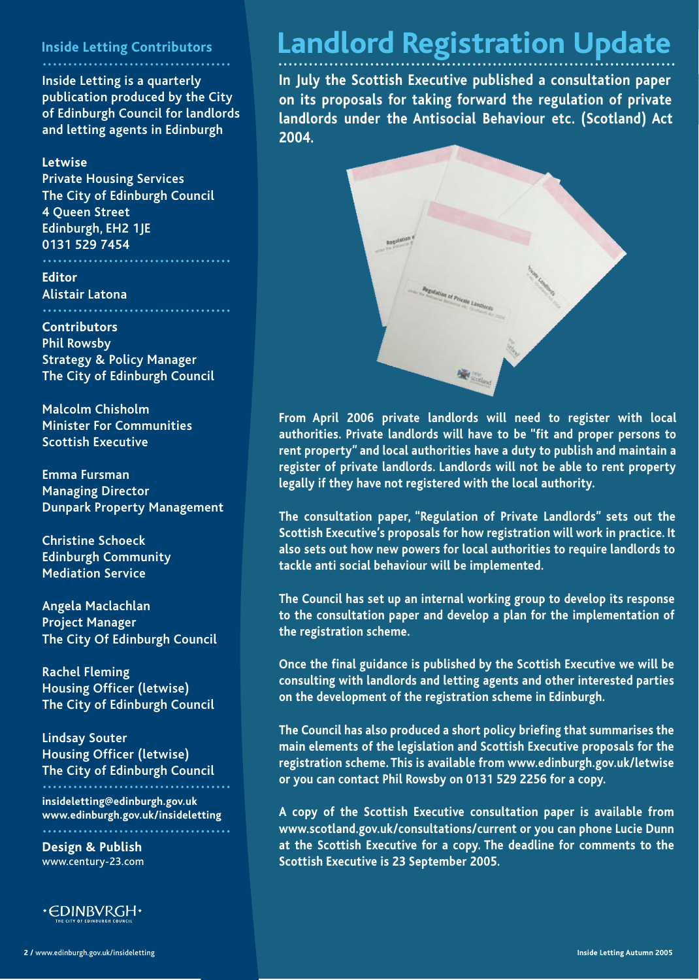## **Inside Letting Contributors**

## **.....................................**

**Inside Letting is a quarterly publication produced by the City of Edinburgh Council for landlords and letting agents in Edinburgh**

## **Letwise**

**Private Housing Services The City of Edinburgh Council 4 Queen Street Edinburgh, EH2 1JE 0131 529 7454**

**Editor Alistair Latona**

**Contributors Phil Rowsby Strategy & Policy Manager The City of Edinburgh Council**

**Malcolm Chisholm Minister For Communities Scottish Executive**

**Emma Fursman Managing Director Dunpark Property Management**

**Christine Schoeck Edinburgh Community Mediation Service**

**Angela Maclachlan Project Manager The City Of Edinburgh Council**

**Rachel Fleming Housing Officer (letwise) The City of Edinburgh Council**

**Lindsay Souter Housing Officer (letwise) The City of Edinburgh Council .....................................**

**insideletting@edinburgh.gov.uk www.edinburgh.gov.uk/insideletting**

**Design & Publish** www.century-23.com

**.....................................**



# Landlord Registration Update

**In July the Scottish Executive published a consultation paper on its proposals for taking forward the regulation of private landlords under the Antisocial Behaviour etc. (Scotland) Act 2004.** 



**From April 2006 private landlords will need to register with local authorities. Private landlords will have to be "fit and proper persons to rent property" and local authorities have a duty to publish and maintain a register of private landlords. Landlords will not be able to rent property legally if they have not registered with the local authority.**

**The consultation paper, "Regulation of Private Landlords" sets out the Scottish Executive's proposals for how registration will work in practice. It also sets out how new powers for local authorities to require landlords to tackle anti social behaviour will be implemented.** 

**The Council has set up an internal working group to develop its response to the consultation paper and develop a plan for the implementation of the registration scheme.** 

**Once the final guidance is published by the Scottish Executive we will be consulting with landlords and letting agents and other interested parties on the development of the registration scheme in Edinburgh.**

**The Council has also produced a short policy briefing that summarises the main elements of the legislation and Scottish Executive proposals for the registration scheme. This is available from www.edinburgh.gov.uk/letwise or you can contact Phil Rowsby on 0131 529 2256 for a copy.**

**A copy of the Scottish Executive consultation paper is available from www.scotland.gov.uk/consultations/current or you can phone Lucie Dunn at the Scottish Executive for a copy. The deadline for comments to the Scottish Executive is 23 September 2005.**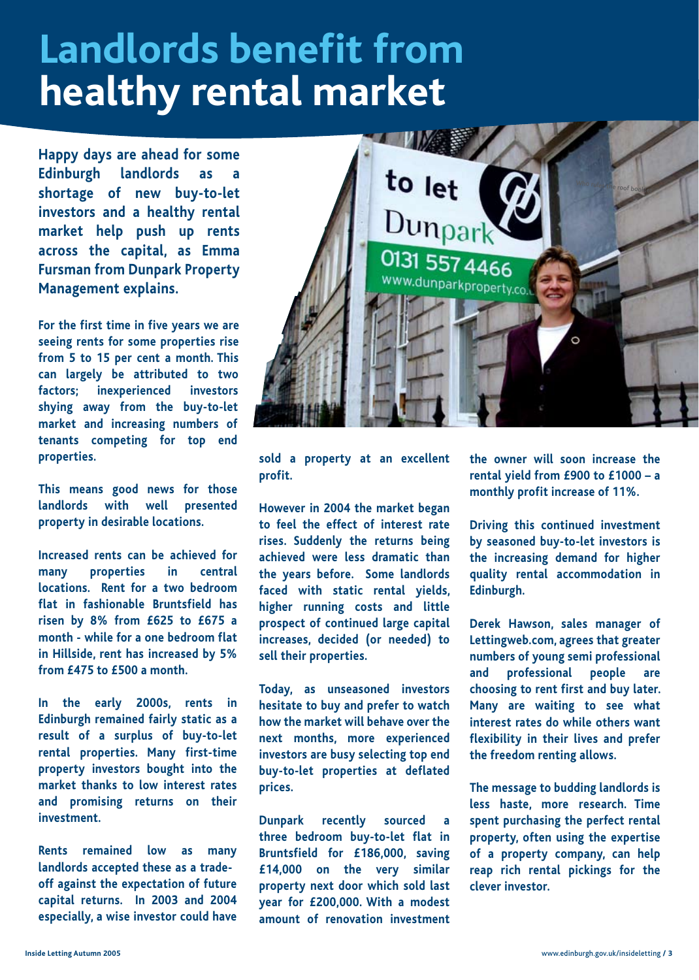# **Landlords benefit from healthy rental market**

**Happy days are ahead for some Edinburgh landlords as a shortage of new buy-to-let investors and a healthy rental market help push up rents across the capital, as Emma Fursman from Dunpark Property Management explains.**

**For the first time in five years we are seeing rents for some properties rise from 5 to 15 per cent a month. This can largely be attributed to two factors; inexperienced investors shying away from the buy-to-let market and increasing numbers of tenants competing for top end properties.**

**This means good news for those landlords with well presented property in desirable locations.** 

**Increased rents can be achieved for many properties in central locations. Rent for a two bedroom flat in fashionable Bruntsfield has risen by 8% from £625 to £675 a month - while for a one bedroom flat in Hillside, rent has increased by 5% from £475 to £500 a month.**

**In the early 2000s, rents in Edinburgh remained fairly static as a result of a surplus of buy-to-let rental properties. Many first-time property investors bought into the market thanks to low interest rates and promising returns on their investment.** 

**Rents remained low as many landlords accepted these as a tradeoff against the expectation of future capital returns. In 2003 and 2004 especially, a wise investor could have** 



**sold a property at an excellent profit.**

**However in 2004 the market began to feel the effect of interest rate rises. Suddenly the returns being achieved were less dramatic than the years before. Some landlords faced with static rental yields, higher running costs and little prospect of continued large capital increases, decided (or needed) to sell their properties.**

**Today, as unseasoned investors hesitate to buy and prefer to watch how the market will behave over the next months, more experienced investors are busy selecting top end buy-to-let properties at deflated prices.**

**Dunpark recently sourced three bedroom buy-to-let flat in Bruntsfield for £186,000, saving £14,000 on the very similar property next door which sold last year for £200,000. With a modest amount of renovation investment** 

**the owner will soon increase the rental yield from £900 to £1000 – a monthly profit increase of 11%.** 

**Driving this continued investment by seasoned buy-to-let investors is the increasing demand for higher quality rental accommodation in Edinburgh.** 

**Derek Hawson, sales manager of Lettingweb.com, agrees that greater numbers of young semi professional and professional people are choosing to rent first and buy later. Many are waiting to see what interest rates do while others want flexibility in their lives and prefer the freedom renting allows.**

**The message to budding landlords is less haste, more research. Time spent purchasing the perfect rental property, often using the expertise of a property company, can help reap rich rental pickings for the clever investor.**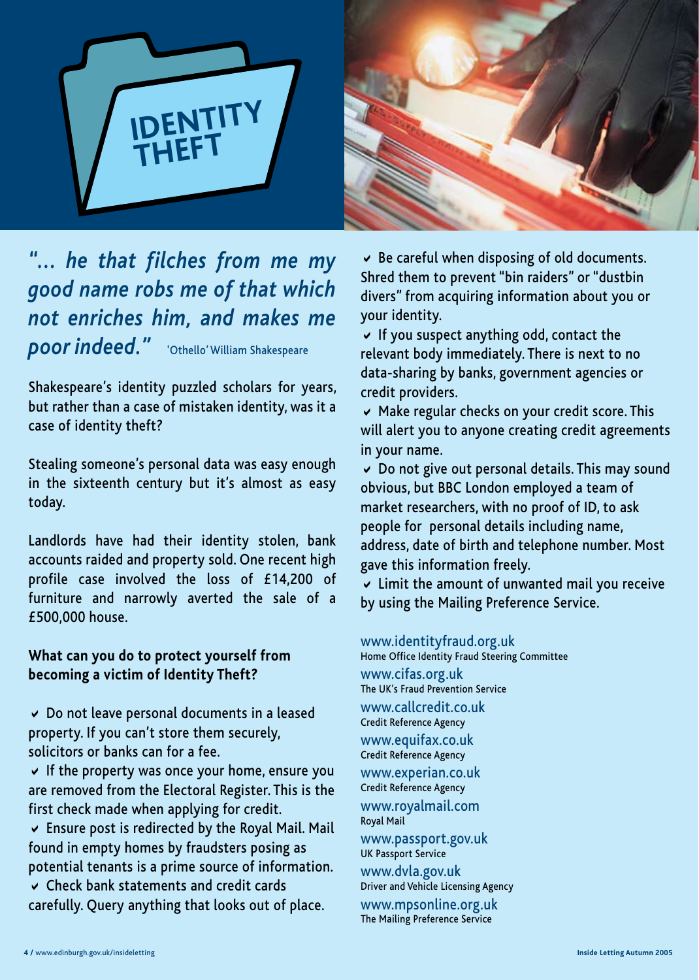



# *"... he that filches from me my good name robs me of that which not enriches him, and makes me poor indeed."* 'Othello' William Shakespeare

Shakespeare's identity puzzled scholars for years, but rather than a case of mistaken identity, was it a case of identity theft?

Stealing someone's personal data was easy enough in the sixteenth century but it's almost as easy today.

Landlords have had their identity stolen, bank accounts raided and property sold. One recent high profile case involved the loss of £14,200 of furniture and narrowly averted the sale of a £500,000 house.

# **What can you do to protect yourself from becoming a victim of Identity Theft?**

 $\vee$  Do not leave personal documents in a leased property. If you can't store them securely, solicitors or banks can for a fee.

 $\vee$  If the property was once your home, ensure you are removed from the Electoral Register. This is the first check made when applying for credit.

 $\vee$  Ensure post is redirected by the Royal Mail. Mail found in empty homes by fraudsters posing as potential tenants is a prime source of information.

 $\vee$  Check bank statements and credit cards carefully. Query anything that looks out of place.

 $\vee$  Be careful when disposing of old documents. Shred them to prevent "bin raiders" or "dustbin divers" from acquiring information about you or your identity.

 $\vee$  If you suspect anything odd, contact the relevant body immediately. There is next to no data-sharing by banks, government agencies or credit providers.

 $\vee$  Make regular checks on your credit score. This will alert you to anyone creating credit agreements in your name.

 $\vee$  Do not give out personal details. This may sound obvious, but BBC London employed a team of market researchers, with no proof of ID, to ask people for personal details including name, address, date of birth and telephone number. Most gave this information freely.

 $\vee$  Limit the amount of unwanted mail you receive by using the Mailing Preference Service.

www.identityfraud.org.uk<br>Home Office Identity Fraud Steering Committee

www.cifas.org.uk The UK's Fraud Prevention Service www.callcredit.co.uk<br>Credit Reference Agency

www.equifax.co.uk<br>Credit Reference Agency

www.experian.co.uk<br>Credit Reference Agency www.royalmail.com<br><sub>Royal</sub> Mail

www.passport.gov.uk UK Passport Service

www.dvla.gov.uk<br>Driver and Vehicle Licensing Agency www.mpsonline.org.uk The Mailing Preference Service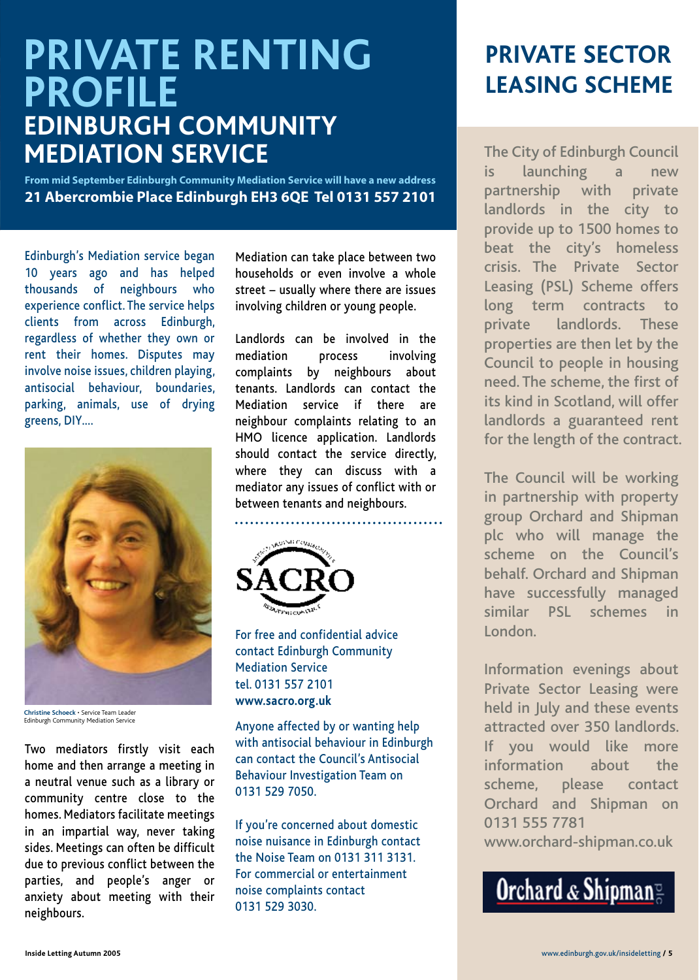# **PRIVATE RENTING PROFILE EDINBURGH COMMUNITY MEDIATION SERVICE**

**From mid September Edinburgh Community Mediation Service will have a new address 21 Abercrombie Place Edinburgh EH3 6QE Tel 0131 557 2101**

Edinburgh's Mediation service began 10 years ago and has helped thousands of neighbours who experience conflict. The service helps clients from across Edinburgh, regardless of whether they own or rent their homes. Disputes may involve noise issues, children playing, antisocial behaviour, boundaries, parking, animals, use of drying greens, DIY.…



**Christine Schoeck** • Service Team Leader Edinburgh Community Mediation Service

Two mediators firstly visit each home and then arrange a meeting in a neutral venue such as a library or community centre close to the homes. Mediators facilitate meetings in an impartial way, never taking sides. Meetings can often be difficult due to previous conflict between the parties, and people's anger or anxiety about meeting with their neighbours.

Mediation can take place between two households or even involve a whole street – usually where there are issues involving children or young people.

Landlords can be involved in the mediation process involving complaints by neighbours about tenants. Landlords can contact the Mediation service if there are neighbour complaints relating to an HMO licence application. Landlords should contact the service directly, where they can discuss with a mediator any issues of conflict with or between tenants and neighbours.

**.........................................**



For free and confidential advice contact Edinburgh Community Mediation Service tel. 0131 557 2101 **www.sacro.org.uk**

Anyone affected by or wanting help with antisocial behaviour in Edinburgh can contact the Council's Antisocial Behaviour Investigation Team on 0131 529 7050.

If you're concerned about domestic noise nuisance in Edinburgh contact the Noise Team on 0131 311 3131. For commercial or entertainment noise complaints contact 0131 529 3030.

# **PRIVATE SECTOR LEASING SCHEME**

The City of Edinburgh Council is launching a new partnership with private landlords in the city to provide up to 1500 homes to beat the city's homeless crisis. The Private Sector Leasing (PSL) Scheme offers long term contracts to private landlords. These properties are then let by the Council to people in housing need. The scheme, the first of its kind in Scotland, will offer landlords a guaranteed rent for the length of the contract.

The Council will be working in partnership with property group Orchard and Shipman plc who will manage the scheme on the Council's behalf. Orchard and Shipman have successfully managed similar PSL schemes in London.

Information evenings about Private Sector Leasing were held in July and these events attracted over 350 landlords. If you would like more information about the scheme, please contact Orchard and Shipman on 0131 555 7781 www.orchard-shipman.co.uk

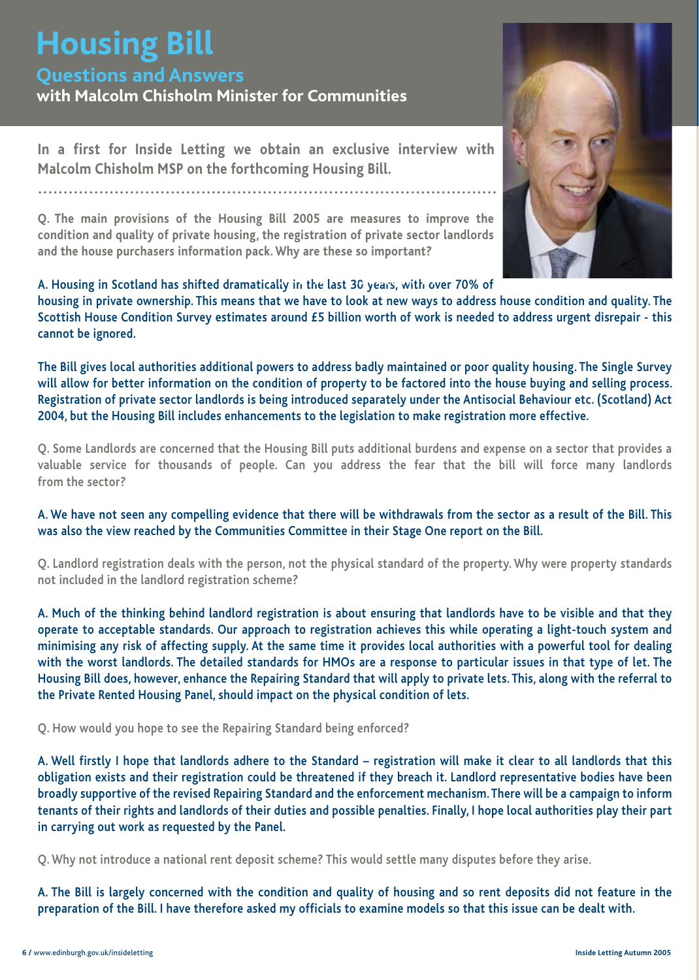# **Housing Bill**

# **Questions and Answers**

**with Malcolm Chisholm Minister for Communities**

**In a first for Inside Letting we obtain an exclusive interview with Malcolm Chisholm MSP on the forthcoming Housing Bill.**

**Q. The main provisions of the Housing Bill 2005 are measures to improve the condition and quality of private housing, the registration of private sector landlords and the house purchasers information pack. Why are these so important?**

#### **A. Housing in Scotland has shifted dramatically in the last 30 years, with over 70% of .................................**

**housing in private ownership. This means that we have to look at new ways to address house condition and quality. The Scottish House Condition Survey estimates around £5 billion worth of work is needed to address urgent disrepair - this cannot be ignored.**

**The Bill gives local authorities additional powers to address badly maintained or poor quality housing. The Single Survey will allow for better information on the condition of property to be factored into the house buying and selling process. Registration of private sector landlords is being introduced separately under the Antisocial Behaviour etc. (Scotland) Act 2004, but the Housing Bill includes enhancements to the legislation to make registration more effective.** 

**Q. Some Landlords are concerned that the Housing Bill puts additional burdens and expense on a sector that provides a valuable service for thousands of people. Can you address the fear that the bill will force many landlords from the sector?**

#### **A. We have not seen any compelling evidence that there will be withdrawals from the sector as a result of the Bill. This was also the view reached by the Communities Committee in their Stage One report on the Bill.**

**Q. Landlord registration deals with the person, not the physical standard of the property. Why were property standards not included in the landlord registration scheme?**

**A. Much of the thinking behind landlord registration is about ensuring that landlords have to be visible and that they operate to acceptable standards. Our approach to registration achieves this while operating a light-touch system and minimising any risk of affecting supply. At the same time it provides local authorities with a powerful tool for dealing with the worst landlords. The detailed standards for HMOs are a response to particular issues in that type of let. The Housing Bill does, however, enhance the Repairing Standard that will apply to private lets. This, along with the referral to the Private Rented Housing Panel, should impact on the physical condition of lets.**

**Q. How would you hope to see the Repairing Standard being enforced?**

**A. Well firstly I hope that landlords adhere to the Standard – registration will make it clear to all landlords that this obligation exists and their registration could be threatened if they breach it. Landlord representative bodies have been broadly supportive of the revised Repairing Standard and the enforcement mechanism. There will be a campaign to inform tenants of their rights and landlords of their duties and possible penalties. Finally, I hope local authorities play their part in carrying out work as requested by the Panel.**

**Q. Why not introduce a national rent deposit scheme? This would settle many disputes before they arise.**

**A. The Bill is largely concerned with the condition and quality of housing and so rent deposits did not feature in the preparation of the Bill. I have therefore asked my officials to examine models so that this issue can be dealt with.**

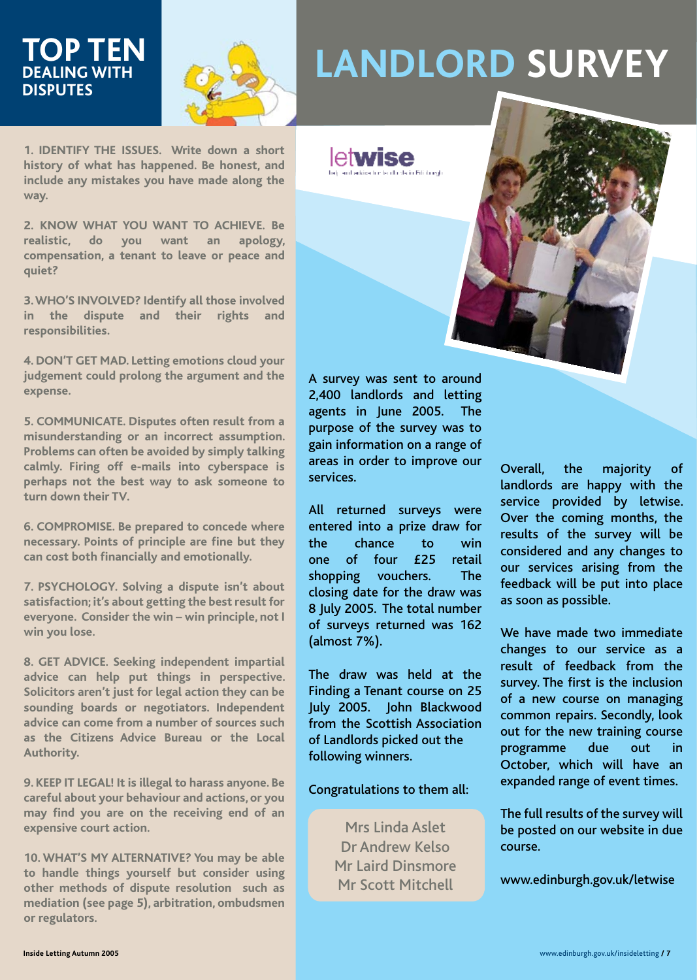# **DEALING WITH DISPUTES**



# **LANDLORD SURVEY**

**1. IDENTIFY THE ISSUES. Write down a short history of what has happened. Be honest, and include any mistakes you have made along the way.**

**2. KNOW WHAT YOU WANT TO ACHIEVE. Be realistic, do you want an apology, compensation, a tenant to leave or peace and quiet?**

**3. WHO'S INVOLVED? Identify all those involved in the dispute and their rights and responsibilities.** 

**4. DON'T GET MAD. Letting emotions cloud your judgement could prolong the argument and the expense.** 

**5. COMMUNICATE. Disputes often result from a misunderstanding or an incorrect assumption. Problems can often be avoided by simply talking calmly. Firing off e-mails into cyberspace is perhaps not the best way to ask someone to turn down their TV.**

**6. COMPROMISE. Be prepared to concede where necessary. Points of principle are fine but they can cost both financially and emotionally.** 

**7. PSYCHOLOGY. Solving a dispute isn't about satisfaction; it's about getting the best result for everyone. Consider the win – win principle, not I win you lose.**

**8. GET ADVICE. Seeking independent impartial advice can help put things in perspective. Solicitors aren't just for legal action they can be sounding boards or negotiators. Independent advice can come from a number of sources such as the Citizens Advice Bureau or the Local Authority.**

**9. KEEP IT LEGAL! It is illegal to harass anyone. Be careful about your behaviour and actions, or you may find you are on the receiving end of an expensive court action.**

**10. WHAT'S MY ALTERNATIVE? You may be able to handle things yourself but consider using other methods of dispute resolution such as mediation (see page 5), arbitration, ombudsmen or regulators.**

A survey was sent to around 2,400 landlords and letting agents in June 2005. The purpose of the survey was to gain information on a range of areas in order to improve our services.

letwise

.<br>La fer Felici de avala

All returned surveys were entered into a prize draw for the chance to win one of four £25 retail shopping vouchers. The closing date for the draw was 8 July 2005. The total number of surveys returned was 162 (almost 7%).

The draw was held at the Finding a Tenant course on 25 July 2005. John Blackwood from the Scottish Association of Landlords picked out the following winners.

Congratulations to them all:

Mrs Linda Aslet Dr Andrew Kelso Mr Laird Dinsmore Mr Scott Mitchell

Overall, the majority of landlords are happy with the service provided by letwise. Over the coming months, the results of the survey will be considered and any changes to our services arising from the feedback will be put into place as soon as possible.

We have made two immediate changes to our service as a result of feedback from the survey. The first is the inclusion of a new course on managing common repairs. Secondly, look out for the new training course programme due out in October, which will have an expanded range of event times.

The full results of the survey will be posted on our website in due course.

www.edinburgh.gov.uk/letwise